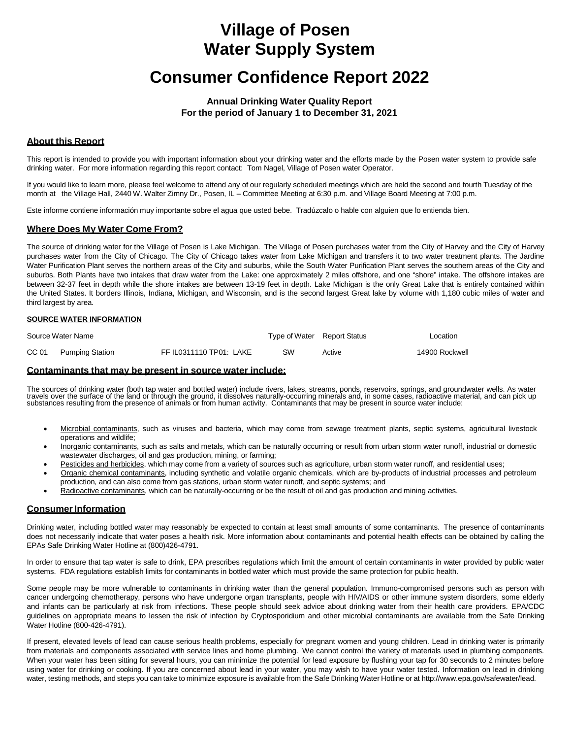# **Village of Posen Water Supply System**

# **Consumer Confidence Report 2022**

## **Annual Drinking Water Quality Report For the period of January 1 to December 31, 2021**

### **About this Report**

This report is intended to provide you with important information about your drinking water and the efforts made by the Posen water system to provide safe drinking water. For more information regarding this report contact: Tom Nagel, Village of Posen water Operator.

If you would like to learn more, please feel welcome to attend any of our regularly scheduled meetings which are held the second and fourth Tuesday of the month at the Village Hall, 2440 W. Walter Zimny Dr., Posen, IL – Committee Meeting at 6:30 p.m. and Village Board Meeting at 7:00 p.m.

Este informe contiene información muy importante sobre el agua que usted bebe. Tradúzcalo o hable con alguien que lo entienda bien.

### **Where Does My Water Come From?**

The source of drinking water for the Village of Posen is Lake Michigan. The Village of Posen purchases water from the City of Harvey and the City of Harvey purchases water from the City of Chicago. The City of Chicago takes water from Lake Michigan and transfers it to two water treatment plants. The Jardine Water Purification Plant serves the northern areas of the City and suburbs, while the South Water Purification Plant serves the southern areas of the City and suburbs. Both Plants have two intakes that draw water from the Lake: one approximately 2 miles offshore, and one "shore" intake. The offshore intakes are between 32-37 feet in depth while the shore intakes are between 13-19 feet in depth. Lake Michigan is the only Great Lake that is entirely contained within the United States. It borders Illinois, Indiana, Michigan, and Wisconsin, and is the second largest Great lake by volume with 1,180 cubic miles of water and third largest by area.

#### **SOURCE WATER INFORMATION**

| Source Water Name |                        |                         | Type of Water Report Status |        | Location       |
|-------------------|------------------------|-------------------------|-----------------------------|--------|----------------|
| CC 01             | <b>Pumping Station</b> | FF IL0311110 TP01: LAKE | SW                          | Active | 14900 Rockwell |

#### **Contaminants that may be present in source water include:**

The sources of drinking water (both tap water and bottled water) include rivers, lakes, streams, ponds, reservoirs, springs, and groundwater wells. As water travels over the surface of the land or through the ground, it dissolves naturally-occurring minerals and, in some cases, radioactive material, and can pick up substances resulting from the presence of animals or from human activity. Contaminants that may be present in source water include:

- Microbial contaminants, such as viruses and bacteria, which may come from sewage treatment plants, septic systems, agricultural livestock operations and wildlife;
- Inorganic contaminants, such as salts and metals, which can be naturally occurring or result from urban storm water runoff, industrial or domestic wastewater discharges, oil and gas production, mining, or farming;
- Pesticides and herbicides, which may come from a variety of sources such as agriculture, urban storm water runoff, and residential uses;
- Organic chemical contaminants, including synthetic and volatile organic chemicals, which are by-products of industrial processes and petroleum production, and can also come from gas stations, urban storm water runoff, and septic systems; and
- Radioactive contaminants, which can be naturally-occurring or be the result of oil and gas production and mining activities.

#### **Consumer Information**

Drinking water, including bottled water may reasonably be expected to contain at least small amounts of some contaminants. The presence of contaminants does not necessarily indicate that water poses a health risk. More information about contaminants and potential health effects can be obtained by calling the EPAs Safe Drinking Water Hotline at (800)426-4791.

In order to ensure that tap water is safe to drink, EPA prescribes regulations which limit the amount of certain contaminants in water provided by public water systems. FDA regulations establish limits for contaminants in bottled water which must provide the same protection for public health.

Some people may be more vulnerable to contaminants in drinking water than the general population. Immuno-compromised persons such as person with cancer undergoing chemotherapy, persons who have undergone organ transplants, people with HIV/AIDS or other immune system disorders, some elderly and infants can be particularly at risk from infections. These people should seek advice about drinking water from their health care providers. EPA/CDC guidelines on appropriate means to lessen the risk of infection by Cryptosporidium and other microbial contaminants are available from the Safe Drinking Water Hotline (800-426-4791).

If present, elevated levels of lead can cause serious health problems, especially for pregnant women and young children. Lead in drinking water is primarily from materials and components associated with service lines and home plumbing. We cannot control the variety of materials used in plumbing components. When your water has been sitting for several hours, you can minimize the potential for lead exposure by flushing your tap for 30 seconds to 2 minutes before using water for drinking or cooking. If you are concerned about lead in your water, you may wish to have your water tested. Information on lead in drinking water, testing methods, and steps you can take to minimize exposure is available from the Safe Drinking Water Hotline or at [http://www.epa.gov/safewater/lead.](http://www.epa.gov/safewater/lead)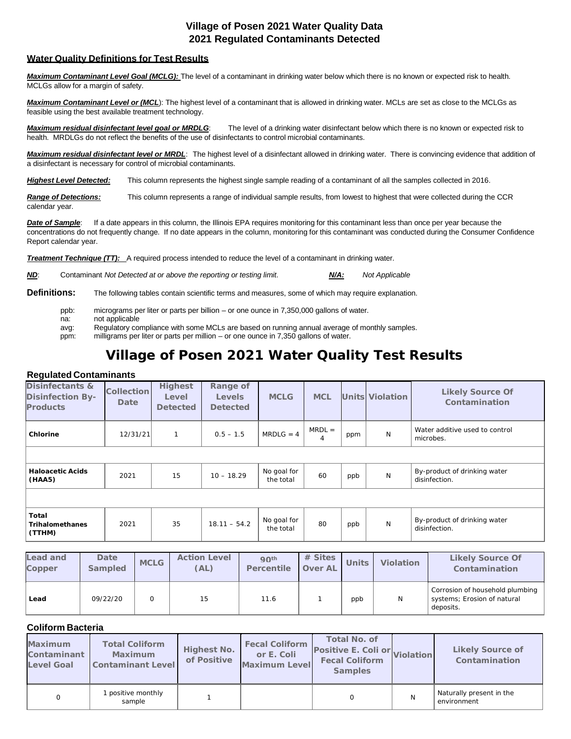# **Village of Posen 2021 Water Quality Data 2021 Regulated Contaminants Detected**

# **Water Quality Definitions for Test Results**

*Maximum Contaminant Level Goal (MCLG):* The level of a contaminant in drinking water below which there is no known or expected risk to health. MCLGs allow for a margin of safety.

*Maximum Contaminant Level or (MCL*): The highest level of a contaminant that is allowed in drinking water. MCLs are set as close to the MCLGs as feasible using the best available treatment technology.

*Maximum residual disinfectant level goal or MRDLG*: The level of a drinking water disinfectant below which there is no known or expected risk to health. MRDLGs do not reflect the benefits of the use of disinfectants to control microbial contaminants.

*Maximum residual disinfectant level or MRDL*: The highest level of a disinfectant allowed in drinking water. There is convincing evidence that addition of a disinfectant is necessary for control of microbial contaminants.

*Highest Level Detected:* This column represents the highest single sample reading of a contaminant of all the samples collected in 2016.

*Range of Detections:* This column represents a range of individual sample results, from lowest to highest that were collected during the CCR calendar year.

**Date of Sample**: If a date appears in this column, the Illinois EPA requires monitoring for this contaminant less than once per year because the concentrations do not frequently change. If no date appears in the column, monitoring for this contaminant was conducted during the Consumer Confidence Report calendar year.

*Treatment Technique (TT):* A required process intended to reduce the level of a contaminant in drinking water.

| ND. | Contaminant Not Detected at or above the reporting or testing limit. | <u>N/A:</u> | Not Applicable |
|-----|----------------------------------------------------------------------|-------------|----------------|
|-----|----------------------------------------------------------------------|-------------|----------------|

**Definitions:** The following tables contain scientific terms and measures, some of which may require explanation.

ppb: micrograms per liter or parts per billion – or one ounce in 7,350,000 gallons of water.

na: not applicable<br>avg: Regulatory cor

Regulatory compliance with some MCLs are based on running annual average of monthly samples.

ppm: milligrams per liter or parts per million – or one ounce in 7,350 gallons of water.

# **Village of Posen 2021 Water Quality Test Results**

# **Regulated Contaminants**

| <b>Disinfectants &amp;</b><br><b>Disinfection By-</b><br><b>Products</b> | <b>Collection</b><br>Date | <b>Highest</b><br>Level<br><b>Detected</b> | Range of<br><b>Levels</b><br><b>Detected</b> | <b>MCLG</b>              | <b>MCL</b>                 |     | <b>Units Violation</b> | <b>Likely Source Of</b><br>Contamination      |
|--------------------------------------------------------------------------|---------------------------|--------------------------------------------|----------------------------------------------|--------------------------|----------------------------|-----|------------------------|-----------------------------------------------|
| Chlorine                                                                 | 12/31/21                  | $\mathbf{1}$                               | $0.5 - 1.5$                                  | $MRDLG = 4$              | $MRDL =$<br>$\overline{4}$ | ppm | N                      | Water additive used to control<br>microbes.   |
|                                                                          |                           |                                            |                                              |                          |                            |     |                        |                                               |
| <b>Haloacetic Acids</b><br>(HAA5)                                        | 2021                      | 15                                         | $10 - 18.29$                                 | No goal for<br>the total | 60                         | ppb | N                      | By-product of drinking water<br>disinfection. |
|                                                                          |                           |                                            |                                              |                          |                            |     |                        |                                               |
| Total<br><b>Trihalomethanes</b><br>(TTHM)                                | 2021                      | 35                                         | $18.11 - 54.2$                               | No goal for<br>the total | 80                         | ppb | N                      | By-product of drinking water<br>disinfection. |

| Lead and<br>Copper | Date<br><b>Sampled</b> | <b>MCLG</b> | <b>Action Level</b><br>(AL) | 90 <sup>th</sup><br>Percentile | # Sites<br>Over AL | <b>Units</b> | <b>Violation</b> | <b>Likely Source Of</b><br>Contamination                                    |
|--------------------|------------------------|-------------|-----------------------------|--------------------------------|--------------------|--------------|------------------|-----------------------------------------------------------------------------|
| Lead               | 09/22/20               | Ω           | 15                          | 11.6                           |                    | ppb          | Ν                | Corrosion of household plumbing<br>systems; Erosion of natural<br>deposits. |

# **Coliform Bacteria**

| <b>Maximum</b><br>Contaminant<br><b>Level Goal</b> | <b>Total Coliform</b><br><b>Maximum</b><br><b>Contaminant Level</b> | Highest No.<br>of Positive | <b>Fecal Coliform</b><br>or E. Coli<br><b>Maximum Level</b> | Total No. of<br>Positive E. Coli or Violation<br><b>Fecal Coliform</b><br><b>Samples</b> |   | <b>Likely Source of</b><br>Contamination |
|----------------------------------------------------|---------------------------------------------------------------------|----------------------------|-------------------------------------------------------------|------------------------------------------------------------------------------------------|---|------------------------------------------|
|                                                    | 1 positive monthly<br>sample                                        |                            |                                                             |                                                                                          | N | Naturally present in the<br>environment  |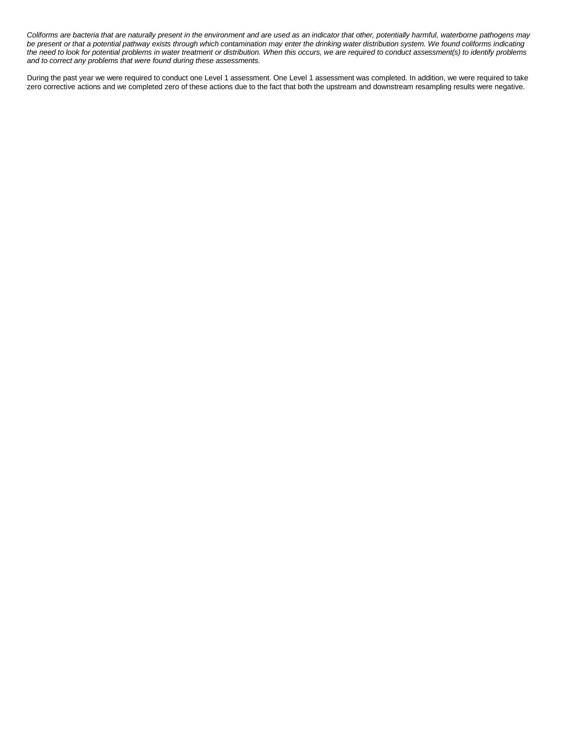Coliforms are bacteria that are naturally present in the environment and are used as an indicator that other, potentially harmful, waterborne pathogens may be present or that a potential pathway exists through which contamination may enter the drinking water distribution system. We found coliforms indicating the need to look for potential problems in water treatment or distribution. When this occurs, we are required to conduct assessment(s) to identify problems *and to correct any problems that were found during these assessments.*

During the past year we were required to conduct one Level 1 assessment. One Level 1 assessment was completed. In addition, we were required to take zero corrective actions and we completed zero of these actions due to the fact that both the upstream and downstream resampling results were negative.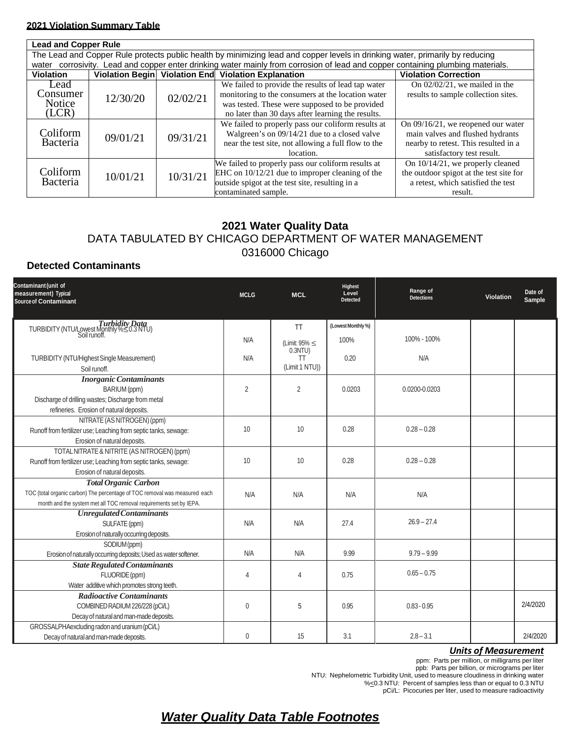# **2021 Violation Summary Table**

| <b>Lead and Copper Rule</b>                                                                                                   |                                                                                                                           |          |                                                     |                                         |  |  |  |  |  |
|-------------------------------------------------------------------------------------------------------------------------------|---------------------------------------------------------------------------------------------------------------------------|----------|-----------------------------------------------------|-----------------------------------------|--|--|--|--|--|
| The Lead and Copper Rule protects public health by minimizing lead and copper levels in drinking water, primarily by reducing |                                                                                                                           |          |                                                     |                                         |  |  |  |  |  |
| water                                                                                                                         | corrosivity. Lead and copper enter drinking water mainly from corrosion of lead and copper containing plumbing materials. |          |                                                     |                                         |  |  |  |  |  |
| <b>Violation</b>                                                                                                              |                                                                                                                           |          | Violation Begin Violation End Violation Explanation | <b>Violation Correction</b>             |  |  |  |  |  |
| Lead                                                                                                                          |                                                                                                                           |          | We failed to provide the results of lead tap water  | On $02/02/21$ , we mailed in the        |  |  |  |  |  |
| Consumer                                                                                                                      | 12/30/20                                                                                                                  | 02/02/21 | monitoring to the consumers at the location water   | results to sample collection sites.     |  |  |  |  |  |
| Notice                                                                                                                        |                                                                                                                           |          | was tested. These were supposed to be provided      |                                         |  |  |  |  |  |
| (LCR)                                                                                                                         |                                                                                                                           |          | no later than 30 days after learning the results.   |                                         |  |  |  |  |  |
|                                                                                                                               | 09/01/21                                                                                                                  | 09/31/21 | We failed to properly pass our coliform results at  | On $09/16/21$ , we reopened our water   |  |  |  |  |  |
| Coliform                                                                                                                      |                                                                                                                           |          | Walgreen's on 09/14/21 due to a closed valve        | main valves and flushed hydrants        |  |  |  |  |  |
| Bacteria                                                                                                                      |                                                                                                                           |          | near the test site, not allowing a full flow to the | nearby to retest. This resulted in a    |  |  |  |  |  |
|                                                                                                                               |                                                                                                                           |          | location.                                           | satisfactory test result.               |  |  |  |  |  |
|                                                                                                                               |                                                                                                                           |          | We failed to properly pass our coliform results at  | On $10/14/21$ , we properly cleaned     |  |  |  |  |  |
| Coliform                                                                                                                      | 10/01/21                                                                                                                  | 10/31/21 | EHC on $10/12/21$ due to improper cleaning of the   | the outdoor spigot at the test site for |  |  |  |  |  |
| <b>Bacteria</b>                                                                                                               |                                                                                                                           |          | outside spigot at the test site, resulting in a     | a retest, which satisfied the test      |  |  |  |  |  |
|                                                                                                                               |                                                                                                                           |          | contaminated sample.                                | result.                                 |  |  |  |  |  |

# **2021 Water Quality Data** DATA TABULATED BY CHICAGO DEPARTMENT OF WATER MANAGEMENT 0316000 Chicago

# **Detected Contaminants**

| Contaminant (unit of<br>measurement) Typical<br>Source of Contaminant                                     | <b>MCLG</b>    | <b>MCL</b>                        | Highest<br>Level<br>Detected | Range of<br><b>Detections</b> | <b>Violation</b> | Date of<br>Sample |
|-----------------------------------------------------------------------------------------------------------|----------------|-----------------------------------|------------------------------|-------------------------------|------------------|-------------------|
| Turbidity Data<br>TURBIDITY (NTU/Lowest Monthly % ≤0.3 NTU)<br>Soil runoff.                               |                | <b>TT</b>                         | (Lowest Monthly %)           |                               |                  |                   |
|                                                                                                           | N/A            |                                   | 100%                         | 100% - 100%                   |                  |                   |
|                                                                                                           |                | $(Limit: 95\% <$<br>$0.3$ NTU $)$ |                              |                               |                  |                   |
| <b>TURBIDITY (NTU/Highest Single Measurement)</b>                                                         | N/A            | <b>TT</b>                         | 0.20                         | N/A                           |                  |                   |
| Soil runoff.                                                                                              |                | (Limit 1 NTU))                    |                              |                               |                  |                   |
| <b>Inorganic Contaminants</b>                                                                             |                |                                   |                              |                               |                  |                   |
| BARIUM (ppm)                                                                                              | $\overline{2}$ | $\overline{2}$                    | 0.0203                       | 0.0200-0.0203                 |                  |                   |
| Discharge of drilling wastes; Discharge from metal                                                        |                |                                   |                              |                               |                  |                   |
| refineries. Erosion of natural deposits.                                                                  |                |                                   |                              |                               |                  |                   |
| NITRATE (AS NITROGEN) (ppm)                                                                               | 10             | 10                                | 0.28                         | $0.28 - 0.28$                 |                  |                   |
| Runoff from fertilizer use; Leaching from septic tanks, sewage:                                           |                |                                   |                              |                               |                  |                   |
| Erosion of natural deposits.                                                                              |                |                                   |                              |                               |                  |                   |
| TOTAL NITRATE & NITRITE (AS NITROGEN) (ppm)                                                               | 10             | 10                                | 0.28                         | $0.28 - 0.28$                 |                  |                   |
| Runoff from fertilizer use; Leaching from septic tanks, sewage:                                           |                |                                   |                              |                               |                  |                   |
| Erosion of natural deposits.                                                                              |                |                                   |                              |                               |                  |                   |
| <b>Total Organic Carbon</b><br>TOC (total organic carbon) The percentage of TOC removal was measured each |                |                                   |                              |                               |                  |                   |
| month and the system met all TOC removal requirements set by IEPA.                                        | N/A            | N/A                               | N/A                          | N/A                           |                  |                   |
| <b>Unregulated Contaminants</b>                                                                           |                |                                   |                              |                               |                  |                   |
| SULFATE (ppm)                                                                                             | N/A            | N/A                               | 27.4                         | $26.9 - 27.4$                 |                  |                   |
| Erosion of naturally occurring deposits.                                                                  |                |                                   |                              |                               |                  |                   |
| SODIUM (ppm)                                                                                              |                |                                   |                              |                               |                  |                   |
| Erosion of naturally occurring deposits; Used as water softener.                                          | N/A            | N/A                               | 9.99                         | $9.79 - 9.99$                 |                  |                   |
| <b>State Regulated Contaminants</b>                                                                       |                |                                   |                              |                               |                  |                   |
| FLUORIDE (ppm)                                                                                            | 4              | 4                                 | 0.75                         | $0.65 - 0.75$                 |                  |                   |
| Water additive which promotes strong teeth.                                                               |                |                                   |                              |                               |                  |                   |
| <b>Radioactive Contaminants</b>                                                                           |                |                                   |                              |                               |                  |                   |
| COMBINED RADIUM 226/228 (pCi/L)                                                                           | $\overline{0}$ | 5                                 | 0.95                         | $0.83 - 0.95$                 |                  | 2/4/2020          |
| Decay of natural and man-made deposits.                                                                   |                |                                   |                              |                               |                  |                   |
| GROSSALPHAexcluding radon and uranium (pCi/L)                                                             |                |                                   |                              |                               |                  |                   |
| Decay of natural and man-made deposits.                                                                   | $\mathbf{0}$   | 15                                | 3.1                          | $2.8 - 3.1$                   |                  | 2/4/2020          |

## *Units of Measurement*

ppm: Parts per million, or milligrams per liter ppb: Parts per billion, or micrograms per liter NTU: Nephelometric Turbidity Unit, used to measure cloudiness in drinking water %<0.3 NTU: Percent of samples less than or equal to 0.3 NTU

pCi/L: Picocuries per liter, used to measure radioactivity

# *Water Quality Data Table Footnotes*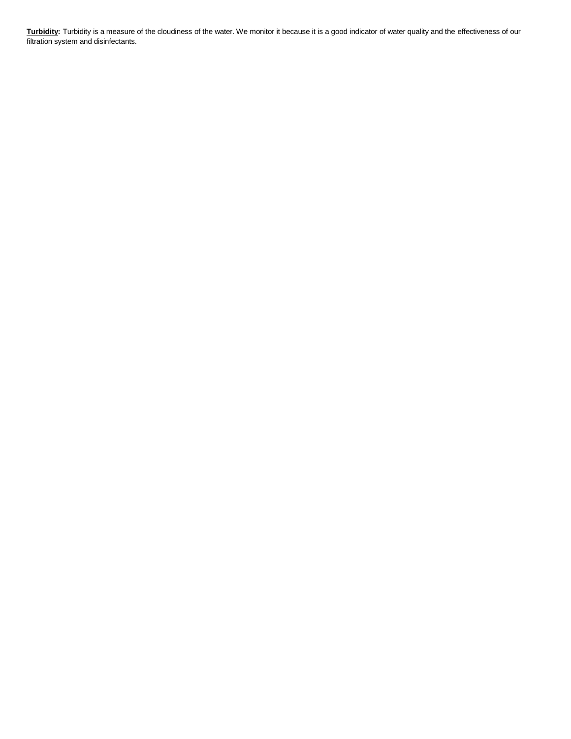**Turbidity:** Turbidity is a measure of the cloudiness of the water. We monitor it because it is a good indicator of water quality and the effectiveness of our filtration system and disinfectants.